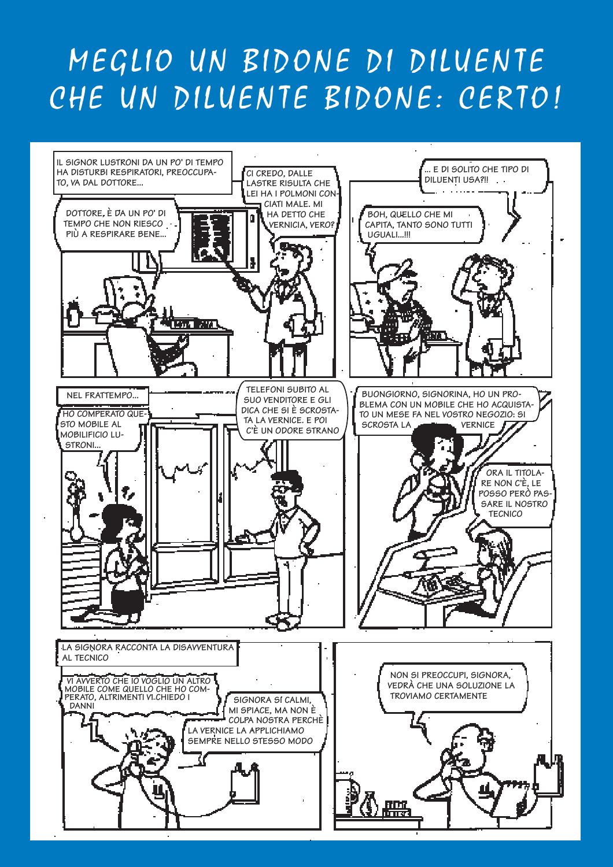## MEGLIO UN BIDONE DI DILUENTE CHE UN DILUENTE BIDONE: CERTO!

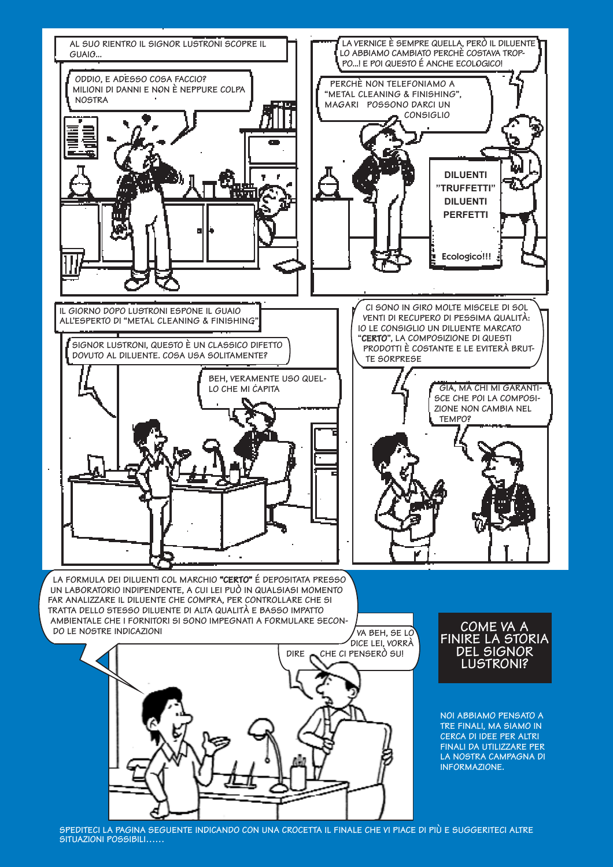